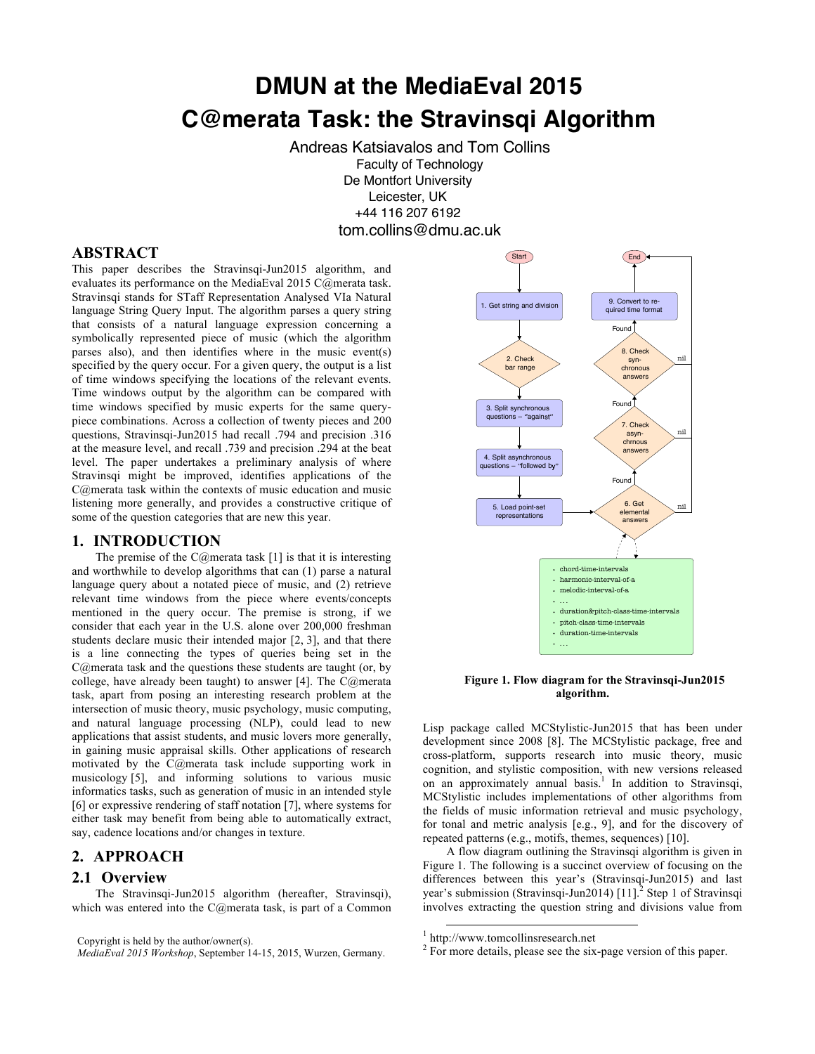# **DMUN at the MediaEval 2015 C@merata Task: the Stravinsqi Algorithm**

Andreas Katsiavalos and Tom Collins Faculty of Technology De Montfort University Leicester, UK +44 116 207 6192 tom.collins@dmu.ac.uk

## **ABSTRACT**

This paper describes the Stravinsqi-Jun2015 algorithm, and evaluates its performance on the MediaEval 2015 C@merata task. Stravinsqi stands for STaff Representation Analysed VIa Natural language String Query Input. The algorithm parses a query string that consists of a natural language expression concerning a symbolically represented piece of music (which the algorithm parses also), and then identifies where in the music event(s) specified by the query occur. For a given query, the output is a list of time windows specifying the locations of the relevant events. Time windows output by the algorithm can be compared with time windows specified by music experts for the same querypiece combinations. Across a collection of twenty pieces and 200 questions, Stravinsqi-Jun2015 had recall .794 and precision .316 at the measure level, and recall .739 and precision .294 at the beat level. The paper undertakes a preliminary analysis of where Stravinsqi might be improved, identifies applications of the C@merata task within the contexts of music education and music listening more generally, and provides a constructive critique of some of the question categories that are new this year.

## **1. INTRODUCTION**

The premise of the C@merata task  $[1]$  is that it is interesting and worthwhile to develop algorithms that can (1) parse a natural language query about a notated piece of music, and (2) retrieve relevant time windows from the piece where events/concepts mentioned in the query occur. The premise is strong, if we consider that each year in the U.S. alone over 200,000 freshman students declare music their intended major [2, 3], and that there is a line connecting the types of queries being set in the C@merata task and the questions these students are taught (or, by college, have already been taught) to answer [4]. The C@merata task, apart from posing an interesting research problem at the intersection of music theory, music psychology, music computing, and natural language processing (NLP), could lead to new applications that assist students, and music lovers more generally, in gaining music appraisal skills. Other applications of research motivated by the C@merata task include supporting work in musicology [5], and informing solutions to various music informatics tasks, such as generation of music in an intended style [6] or expressive rendering of staff notation [7], where systems for either task may benefit from being able to automatically extract, say, cadence locations and/or changes in texture.

# **2. APPROACH**

## **2.1 Overview**

The Stravinsqi-Jun2015 algorithm (hereafter, Stravinsqi), which was entered into the C@merata task, is part of a Common



#### **Figure 1. Flow diagram for the Stravinsqi-Jun2015 algorithm.**

Lisp package called MCStylistic-Jun2015 that has been under development since 2008 [8]. The MCStylistic package, free and cross-platform, supports research into music theory, music cognition, and stylistic composition, with new versions released on an approximately annual basis.<sup>1</sup> In addition to Stravinsqi, MCStylistic includes implementations of other algorithms from the fields of music information retrieval and music psychology, for tonal and metric analysis [e.g., 9], and for the discovery of repeated patterns (e.g., motifs, themes, sequences) [10].

A flow diagram outlining the Stravinsqi algorithm is given in Figure 1. The following is a succinct overview of focusing on the differences between this year's (Stravinsqi-Jun2015) and last year's submission (Stravinsqi-Jun2014)  $[11]$ <sup>2</sup> Step 1 of Stravinsqi involves extracting the question string and divisions value from |<br>|-

Copyright is held by the author/owner(s).

*MediaEval 2015 Workshop*, September 14-15, 2015, Wurzen, Germany.

 <sup>1</sup> http://www.tomcollinsresearch.net

 $2 F$  For more details, please see the six-page version of this paper.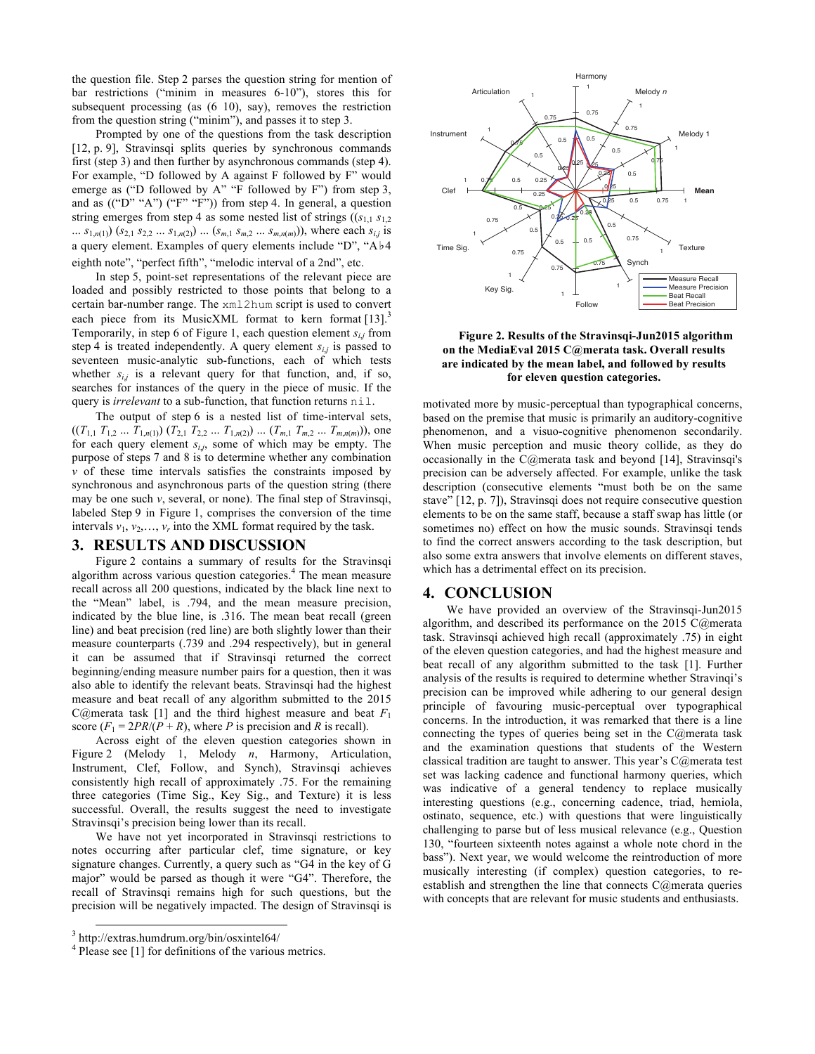the question file. Step 2 parses the question string for mention of bar restrictions ("minim in measures 6-10"), stores this for subsequent processing (as (6 10), say), removes the restriction from the question string ("minim"), and passes it to step 3.

Prompted by one of the questions from the task description [12, p. 9]. Stravinsqi splits queries by synchronous commands first (step 3) and then further by asynchronous commands (step 4). For example, "D followed by A against F followed by F" would emerge as ("D followed by A" "F followed by F") from step 3, and as  $((\n\alpha P)^* \alpha A)^*$  ( $(\n\alpha F)^* \alpha F$ ) from step 4. In general, a question string emerges from step 4 as some nested list of strings  $((s_{1,1}, s_{1,2})$ ...  $s_{1,n(1)}$   $(s_{2,1} s_{2,2} ... s_{1,n(2)}) ... (s_{m,1} s_{m,2} ... s_{m,n(m)}))$ , where each  $s_{i,j}$  is a query element. Examples of query elements include "D", "A♭4 eighth note", "perfect fifth", "melodic interval of a 2nd", etc.

In step 5, point-set representations of the relevant piece are loaded and possibly restricted to those points that belong to a certain bar-number range. The xml2hum script is used to convert each piece from its MusicXML format to kern format [13].<sup>3</sup> Temporarily, in step 6 of Figure 1, each question element *si*,*<sup>j</sup>* from step 4 is treated independently. A query element  $s_{i,j}$  is passed to seventeen music-analytic sub-functions, each of which tests whether  $s_{i,j}$  is a relevant query for that function, and, if so, searches for instances of the query in the piece of music. If the query is *irrelevant* to a sub-function, that function returns nil.

The output of step 6 is a nested list of time-interval sets,  $((T_{1,1} T_{1,2} ... T_{1,n(1)}) (T_{2,1} T_{2,2} ... T_{1,n(2)}) ... (T_{m,1} T_{m,2} ... T_{m,n(m)}))$ , one for each query element *si*,*j*, some of which may be empty. The purpose of steps 7 and 8 is to determine whether any combination  $\nu$  of these time intervals satisfies the constraints imposed by synchronous and asynchronous parts of the question string (there may be one such *v*, several, or none). The final step of Stravinsqi, labeled Step 9 in Figure 1, comprises the conversion of the time intervals  $v_1, v_2, \ldots, v_r$  into the XML format required by the task.

#### **3. RESULTS AND DISCUSSION**

Figure 2 contains a summary of results for the Stravinsqi algorithm across various question categories.<sup>4</sup> The mean measure recall across all 200 questions, indicated by the black line next to the "Mean" label, is .794, and the mean measure precision, indicated by the blue line, is .316. The mean beat recall (green line) and beat precision (red line) are both slightly lower than their measure counterparts (.739 and .294 respectively), but in general it can be assumed that if Stravinsqi returned the correct beginning/ending measure number pairs for a question, then it was also able to identify the relevant beats. Stravinsqi had the highest measure and beat recall of any algorithm submitted to the 2015 C@merata task [1] and the third highest measure and beat  $F_1$ score  $(F_1 = 2PR/(P + R))$ , where *P* is precision and *R* is recall).

Across eight of the eleven question categories shown in Figure 2 (Melody 1, Melody *n*, Harmony, Articulation, Instrument, Clef, Follow, and Synch), Stravinsqi achieves consistently high recall of approximately .75. For the remaining three categories (Time Sig., Key Sig., and Texture) it is less successful. Overall, the results suggest the need to investigate Stravinsqi's precision being lower than its recall.

We have not yet incorporated in Stravinsqi restrictions to notes occurring after particular clef, time signature, or key signature changes. Currently, a query such as "G4 in the key of G major" would be parsed as though it were "G4". Therefore, the recall of Stravinsqi remains high for such questions, but the precision will be negatively impacted. The design of Stravinsqi is



<sup>4</sup> Please see [1] for definitions of the various metrics.



#### **Figure 2. Results of the Stravinsqi-Jun2015 algorithm on the MediaEval 2015 C@merata task. Overall results are indicated by the mean label, and followed by results for eleven question categories.**

motivated more by music-perceptual than typographical concerns, based on the premise that music is primarily an auditory-cognitive phenomenon, and a visuo-cognitive phenomenon secondarily. When music perception and music theory collide, as they do occasionally in the C@merata task and beyond [14], Stravinsqi's precision can be adversely affected. For example, unlike the task description (consecutive elements "must both be on the same stave" [12, p. 7]), Stravinsqi does not require consecutive question elements to be on the same staff, because a staff swap has little (or sometimes no) effect on how the music sounds. Stravinsqi tends to find the correct answers according to the task description, but also some extra answers that involve elements on different staves, which has a detrimental effect on its precision.

### **4. CONCLUSION**

We have provided an overview of the Stravinsqi-Jun2015 algorithm, and described its performance on the 2015 C@merata task. Stravinsqi achieved high recall (approximately .75) in eight of the eleven question categories, and had the highest measure and beat recall of any algorithm submitted to the task [1]. Further analysis of the results is required to determine whether Stravinqi's precision can be improved while adhering to our general design principle of favouring music-perceptual over typographical concerns. In the introduction, it was remarked that there is a line connecting the types of queries being set in the C@merata task and the examination questions that students of the Western classical tradition are taught to answer. This year's C@merata test set was lacking cadence and functional harmony queries, which was indicative of a general tendency to replace musically interesting questions (e.g., concerning cadence, triad, hemiola, ostinato, sequence, etc.) with questions that were linguistically challenging to parse but of less musical relevance (e.g., Question 130, "fourteen sixteenth notes against a whole note chord in the bass"). Next year, we would welcome the reintroduction of more musically interesting (if complex) question categories, to reestablish and strengthen the line that connects C@merata queries with concepts that are relevant for music students and enthusiasts.